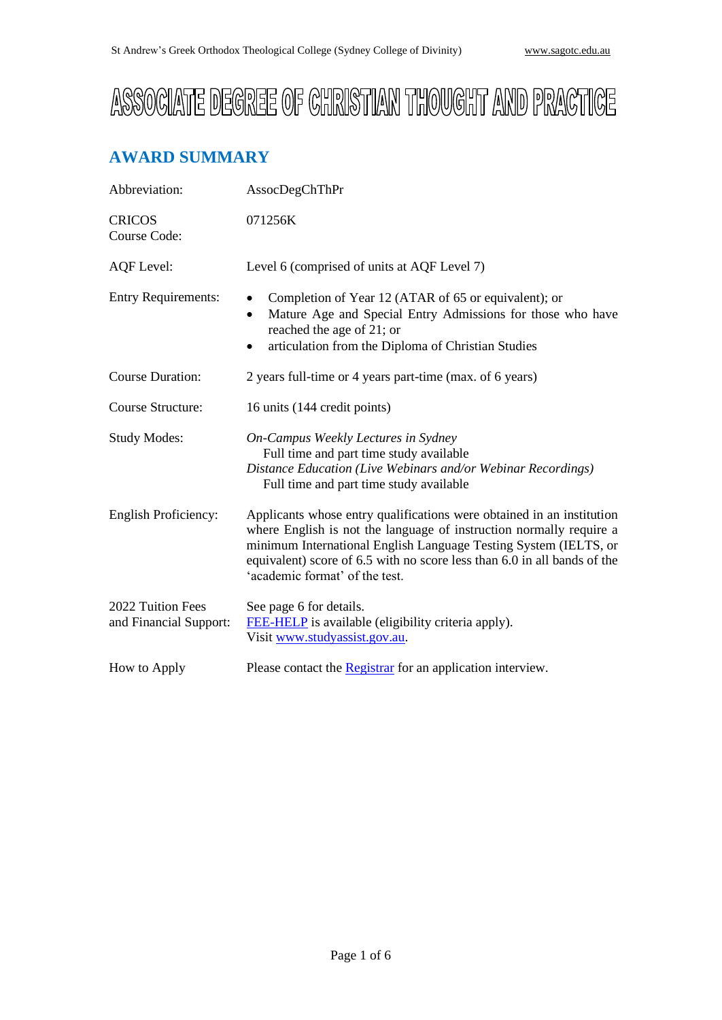# ASSOCIATE DEGREE OF CHRISTIAN THOUGHT AND PRACTICE

# **AWARD SUMMARY**

| Abbreviation:                               | AssocDegChThPr                                                                                                                                                                                                                                                                                                                 |
|---------------------------------------------|--------------------------------------------------------------------------------------------------------------------------------------------------------------------------------------------------------------------------------------------------------------------------------------------------------------------------------|
| <b>CRICOS</b><br>Course Code:               | 071256K                                                                                                                                                                                                                                                                                                                        |
| <b>AQF</b> Level:                           | Level 6 (comprised of units at AQF Level 7)                                                                                                                                                                                                                                                                                    |
| <b>Entry Requirements:</b>                  | Completion of Year 12 (ATAR of 65 or equivalent); or<br>Mature Age and Special Entry Admissions for those who have<br>٠<br>reached the age of 21; or<br>articulation from the Diploma of Christian Studies<br>$\bullet$                                                                                                        |
| <b>Course Duration:</b>                     | 2 years full-time or 4 years part-time (max. of 6 years)                                                                                                                                                                                                                                                                       |
| Course Structure:                           | 16 units (144 credit points)                                                                                                                                                                                                                                                                                                   |
| <b>Study Modes:</b>                         | On-Campus Weekly Lectures in Sydney<br>Full time and part time study available<br>Distance Education (Live Webinars and/or Webinar Recordings)<br>Full time and part time study available                                                                                                                                      |
| <b>English Proficiency:</b>                 | Applicants whose entry qualifications were obtained in an institution<br>where English is not the language of instruction normally require a<br>minimum International English Language Testing System (IELTS, or<br>equivalent) score of 6.5 with no score less than 6.0 in all bands of the<br>'academic format' of the test. |
| 2022 Tuition Fees<br>and Financial Support: | See page 6 for details.<br>FEE-HELP is available (eligibility criteria apply).<br>Visit www.studyassist.gov.au.                                                                                                                                                                                                                |
| How to Apply                                | Please contact the <b>Registrar</b> for an application interview.                                                                                                                                                                                                                                                              |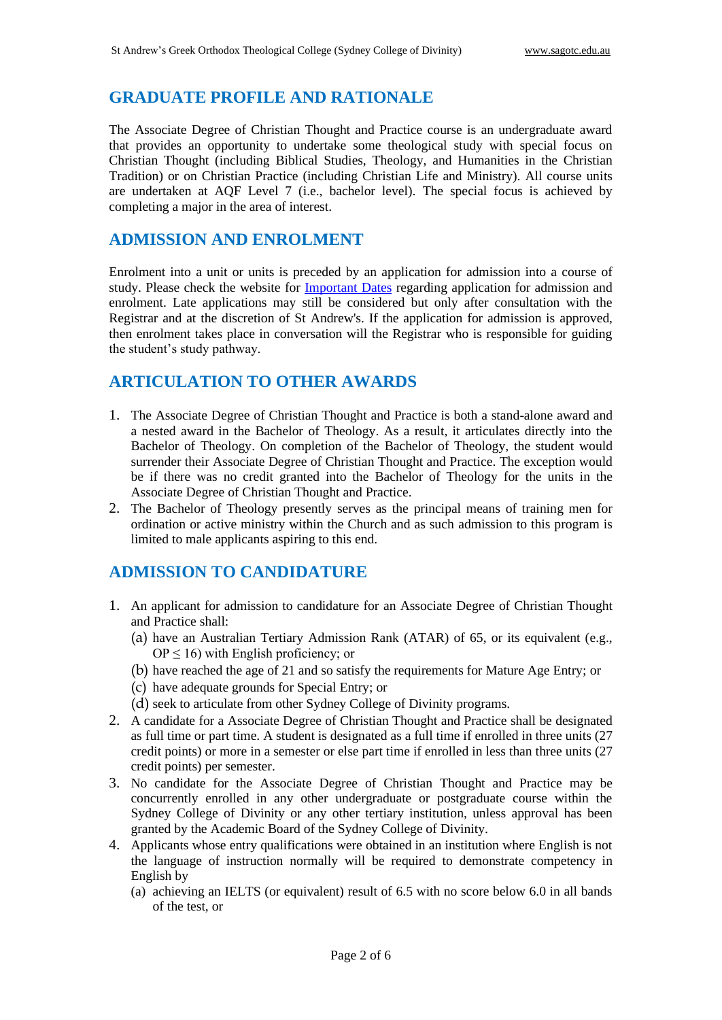## **GRADUATE PROFILE AND RATIONALE**

The Associate Degree of Christian Thought and Practice course is an undergraduate award that provides an opportunity to undertake some theological study with special focus on Christian Thought (including Biblical Studies, Theology, and Humanities in the Christian Tradition) or on Christian Practice (including Christian Life and Ministry). All course units are undertaken at AQF Level 7 (i.e., bachelor level). The special focus is achieved by completing a major in the area of interest.

### **ADMISSION AND ENROLMENT**

Enrolment into a unit or units is preceded by an application for admission into a course of study. Please check the website for [Important Dates](http://www.sagotc.edu.au/studies/important-dates) regarding application for admission and enrolment. Late applications may still be considered but only after consultation with the Registrar and at the discretion of St Andrew's. If the application for admission is approved, then enrolment takes place in conversation will the Registrar who is responsible for guiding the student's study pathway.

# **ARTICULATION TO OTHER AWARDS**

- 1. The Associate Degree of Christian Thought and Practice is both a stand-alone award and a nested award in the Bachelor of Theology. As a result, it articulates directly into the Bachelor of Theology. On completion of the Bachelor of Theology, the student would surrender their Associate Degree of Christian Thought and Practice. The exception would be if there was no credit granted into the Bachelor of Theology for the units in the Associate Degree of Christian Thought and Practice.
- 2. The Bachelor of Theology presently serves as the principal means of training men for ordination or active ministry within the Church and as such admission to this program is limited to male applicants aspiring to this end.

# **ADMISSION TO CANDIDATURE**

- 1. An applicant for admission to candidature for an Associate Degree of Christian Thought and Practice shall:
	- (a) have an Australian Tertiary Admission Rank (ATAR) of 65, or its equivalent (e.g.,  $OP \leq 16$ ) with English proficiency; or
	- (b) have reached the age of 21 and so satisfy the requirements for Mature Age Entry; or
	- (c) have adequate grounds for Special Entry; or
	- (d) seek to articulate from other Sydney College of Divinity programs.
- 2. A candidate for a Associate Degree of Christian Thought and Practice shall be designated as full time or part time. A student is designated as a full time if enrolled in three units (27 credit points) or more in a semester or else part time if enrolled in less than three units (27 credit points) per semester.
- 3. No candidate for the Associate Degree of Christian Thought and Practice may be concurrently enrolled in any other undergraduate or postgraduate course within the Sydney College of Divinity or any other tertiary institution, unless approval has been granted by the Academic Board of the Sydney College of Divinity.
- 4. Applicants whose entry qualifications were obtained in an institution where English is not the language of instruction normally will be required to demonstrate competency in English by
	- (a) achieving an IELTS (or equivalent) result of 6.5 with no score below 6.0 in all bands of the test, or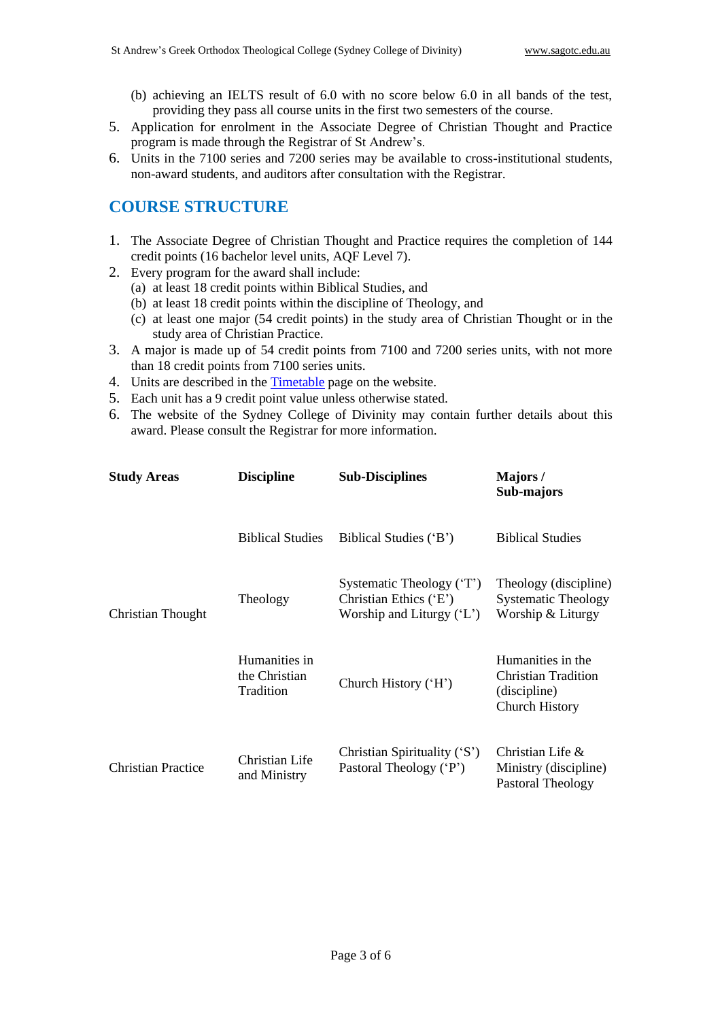- (b) achieving an IELTS result of 6.0 with no score below 6.0 in all bands of the test, providing they pass all course units in the first two semesters of the course.
- 5. Application for enrolment in the Associate Degree of Christian Thought and Practice program is made through the Registrar of St Andrew's.
- 6. Units in the 7100 series and 7200 series may be available to cross-institutional students, non-award students, and auditors after consultation with the Registrar.

# **COURSE STRUCTURE**

- 1. The Associate Degree of Christian Thought and Practice requires the completion of 144 credit points (16 bachelor level units, AQF Level 7).
- 2. Every program for the award shall include:
	- (a) at least 18 credit points within Biblical Studies, and
	- (b) at least 18 credit points within the discipline of Theology, and
	- (c) at least one major (54 credit points) in the study area of Christian Thought or in the study area of Christian Practice.
- 3. A major is made up of 54 credit points from 7100 and 7200 series units, with not more than 18 credit points from 7100 series units.
- 4. Units are described in the [Timetable](http://www.sagotc.edu.au/studies/timetables) page on the website.
- 5. Each unit has a 9 credit point value unless otherwise stated.
- 6. The website of the Sydney College of Divinity may contain further details about this award. Please consult the Registrar for more information.

| <b>Study Areas</b>        | <b>Discipline</b>                           | <b>Sub-Disciplines</b>                                                            | Majors/<br>Sub-majors                                                             |
|---------------------------|---------------------------------------------|-----------------------------------------------------------------------------------|-----------------------------------------------------------------------------------|
|                           | <b>Biblical Studies</b>                     | Biblical Studies ('B')                                                            | <b>Biblical Studies</b>                                                           |
| Christian Thought         | Theology                                    | Systematic Theology ('T')<br>Christian Ethics ('E')<br>Worship and Liturgy $(L')$ | Theology (discipline)<br><b>Systematic Theology</b><br>Worship & Liturgy          |
|                           | Humanities in<br>the Christian<br>Tradition | Church History ('H')                                                              | Humanities in the<br>Christian Tradition<br>(discipline)<br><b>Church History</b> |
| <b>Christian Practice</b> | Christian Life<br>and Ministry              | Christian Spirituality ('S')<br>Pastoral Theology ('P')                           | Christian Life $\&$<br>Ministry (discipline)<br>Pastoral Theology                 |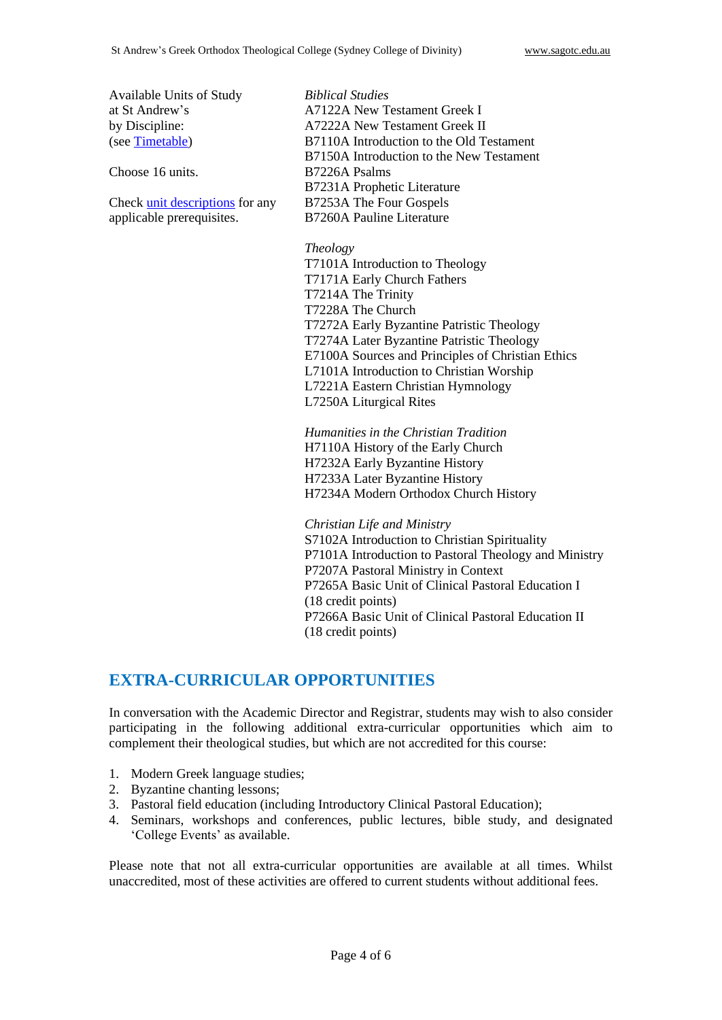Available Units of Study at St Andrew's by Discipline: (see [Timetable\)](http://www.sagotc.edu.au/studies/timetables)

Choose 16 units.

Check [unit descriptions](http://www.sagotc.edu.au/studies/timetables) for any applicable prerequisites.

*Biblical Studies* A7122A New Testament Greek I A7222A New Testament Greek II B7110A Introduction to the Old Testament B7150A Introduction to the New Testament B7226A Psalms B7231A Prophetic Literature B7253A The Four Gospels B7260A Pauline Literature

#### *Theology*

T7101A Introduction to Theology T7171A Early Church Fathers T7214A The Trinity T7228A The Church T7272A Early Byzantine Patristic Theology T7274A Later Byzantine Patristic Theology E7100A Sources and Principles of Christian Ethics L7101A Introduction to Christian Worship L7221A Eastern Christian Hymnology L7250A Liturgical Rites

*Humanities in the Christian Tradition* H7110A History of the Early Church H7232A Early Byzantine History H7233A Later Byzantine History H7234A Modern Orthodox Church History

*Christian Life and Ministry*

S7102A Introduction to Christian Spirituality P7101A Introduction to Pastoral Theology and Ministry P7207A Pastoral Ministry in Context P7265A Basic Unit of Clinical Pastoral Education I (18 credit points) P7266A Basic Unit of Clinical Pastoral Education II (18 credit points)

### **EXTRA-CURRICULAR OPPORTUNITIES**

In conversation with the Academic Director and Registrar, students may wish to also consider participating in the following additional extra-curricular opportunities which aim to complement their theological studies, but which are not accredited for this course:

- 1. Modern Greek language studies;
- 2. Byzantine chanting lessons;
- 3. Pastoral field education (including Introductory Clinical Pastoral Education);
- 4. Seminars, workshops and conferences, public lectures, bible study, and designated 'College Events' as available.

Please note that not all extra-curricular opportunities are available at all times. Whilst unaccredited, most of these activities are offered to current students without additional fees.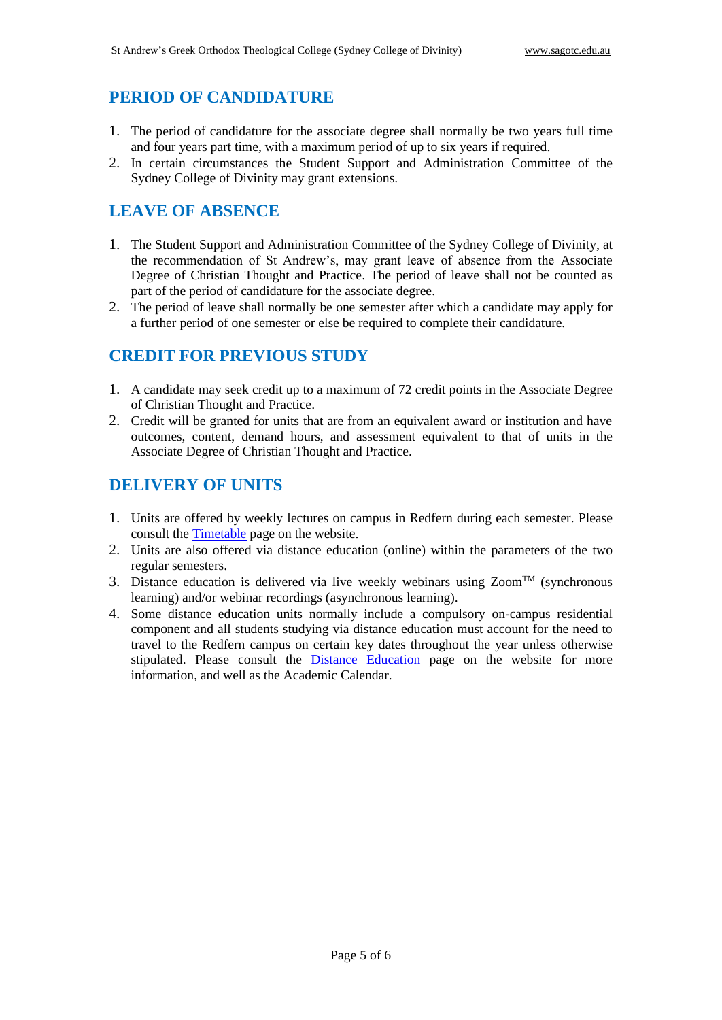# **PERIOD OF CANDIDATURE**

- 1. The period of candidature for the associate degree shall normally be two years full time and four years part time, with a maximum period of up to six years if required.
- 2. In certain circumstances the Student Support and Administration Committee of the Sydney College of Divinity may grant extensions.

# **LEAVE OF ABSENCE**

- 1. The Student Support and Administration Committee of the Sydney College of Divinity, at the recommendation of St Andrew's, may grant leave of absence from the Associate Degree of Christian Thought and Practice. The period of leave shall not be counted as part of the period of candidature for the associate degree.
- 2. The period of leave shall normally be one semester after which a candidate may apply for a further period of one semester or else be required to complete their candidature.

# **CREDIT FOR PREVIOUS STUDY**

- 1. A candidate may seek credit up to a maximum of 72 credit points in the Associate Degree of Christian Thought and Practice.
- 2. Credit will be granted for units that are from an equivalent award or institution and have outcomes, content, demand hours, and assessment equivalent to that of units in the Associate Degree of Christian Thought and Practice.

# **DELIVERY OF UNITS**

- 1. Units are offered by weekly lectures on campus in Redfern during each semester. Please consult the [Timetable](http://www.sagotc.edu.au/studies/timetables) page on the website.
- 2. Units are also offered via distance education (online) within the parameters of the two regular semesters.
- 3. Distance education is delivered via live weekly webinars using  $Zoom^{TM}$  (synchronous learning) and/or webinar recordings (asynchronous learning).
- 4. Some distance education units normally include a compulsory on-campus residential component and all students studying via distance education must account for the need to travel to the Redfern campus on certain key dates throughout the year unless otherwise stipulated. Please consult the [Distance Education](http://www.sagotc.edu.au/studies/distance-education) page on the website for more information, and well as the Academic Calendar.